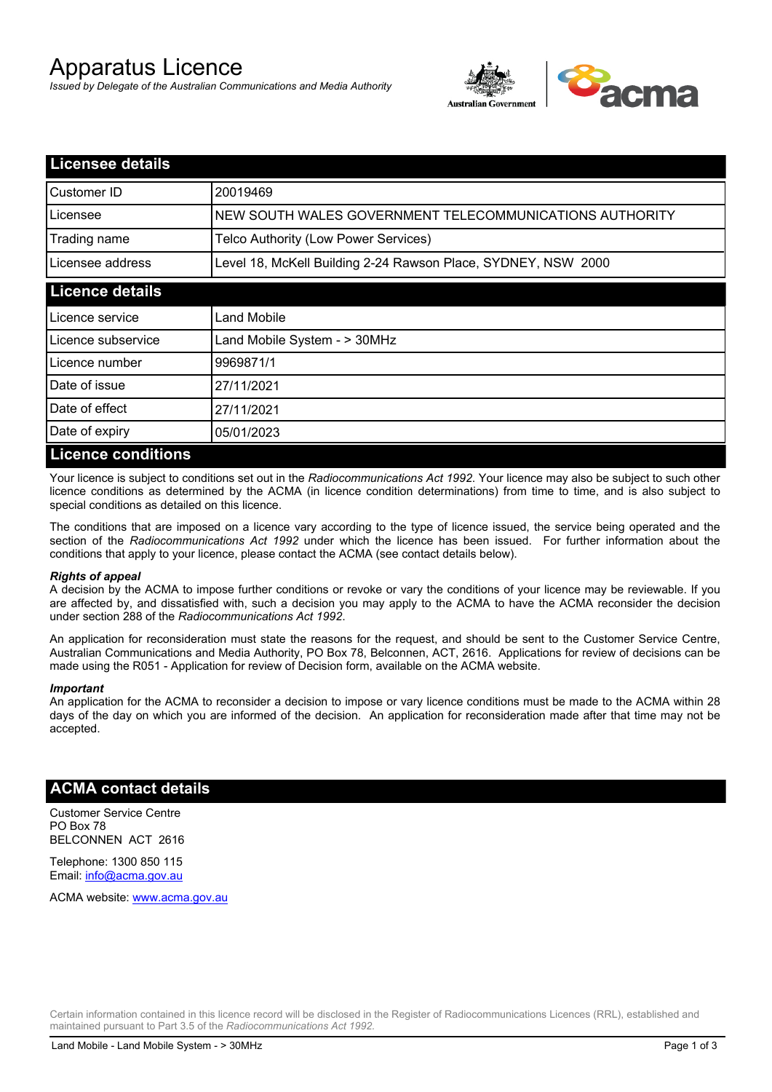# Apparatus Licence

*Issued by Delegate of the Australian Communications and Media Authority*



| <b>Licensee details</b>   |                                                               |
|---------------------------|---------------------------------------------------------------|
| Customer ID               | 20019469                                                      |
| Licensee                  | NEW SOUTH WALES GOVERNMENT TELECOMMUNICATIONS AUTHORITY       |
| Trading name              | Telco Authority (Low Power Services)                          |
| Licensee address          | Level 18, McKell Building 2-24 Rawson Place, SYDNEY, NSW 2000 |
| <b>Licence details</b>    |                                                               |
| l Licence service         | Land Mobile                                                   |
| Licence subservice        | Land Mobile System - > 30MHz                                  |
| Licence number            | 9969871/1                                                     |
| Date of issue             | 27/11/2021                                                    |
| Date of effect            | 27/11/2021                                                    |
| Date of expiry            | 05/01/2023                                                    |
| <b>Licence conditions</b> |                                                               |

Your licence is subject to conditions set out in the *Radiocommunications Act 1992*. Your licence may also be subject to such other licence conditions as determined by the ACMA (in licence condition determinations) from time to time, and is also subject to special conditions as detailed on this licence.

The conditions that are imposed on a licence vary according to the type of licence issued, the service being operated and the section of the *Radiocommunications Act 1992* under which the licence has been issued. For further information about the conditions that apply to your licence, please contact the ACMA (see contact details below).

#### *Rights of appeal*

A decision by the ACMA to impose further conditions or revoke or vary the conditions of your licence may be reviewable. If you are affected by, and dissatisfied with, such a decision you may apply to the ACMA to have the ACMA reconsider the decision under section 288 of the *Radiocommunications Act 1992*.

An application for reconsideration must state the reasons for the request, and should be sent to the Customer Service Centre, Australian Communications and Media Authority, PO Box 78, Belconnen, ACT, 2616. Applications for review of decisions can be made using the R051 - Application for review of Decision form, available on the ACMA website.

#### *Important*

An application for the ACMA to reconsider a decision to impose or vary licence conditions must be made to the ACMA within 28 days of the day on which you are informed of the decision. An application for reconsideration made after that time may not be accepted.

### **ACMA contact details**

Customer Service Centre PO Box 78 BELCONNEN ACT 2616

Telephone: 1300 850 115 Email: info@acma.gov.au

ACMA website: www.acma.gov.au

Certain information contained in this licence record will be disclosed in the Register of Radiocommunications Licences (RRL), established and maintained pursuant to Part 3.5 of the *Radiocommunications Act 1992.*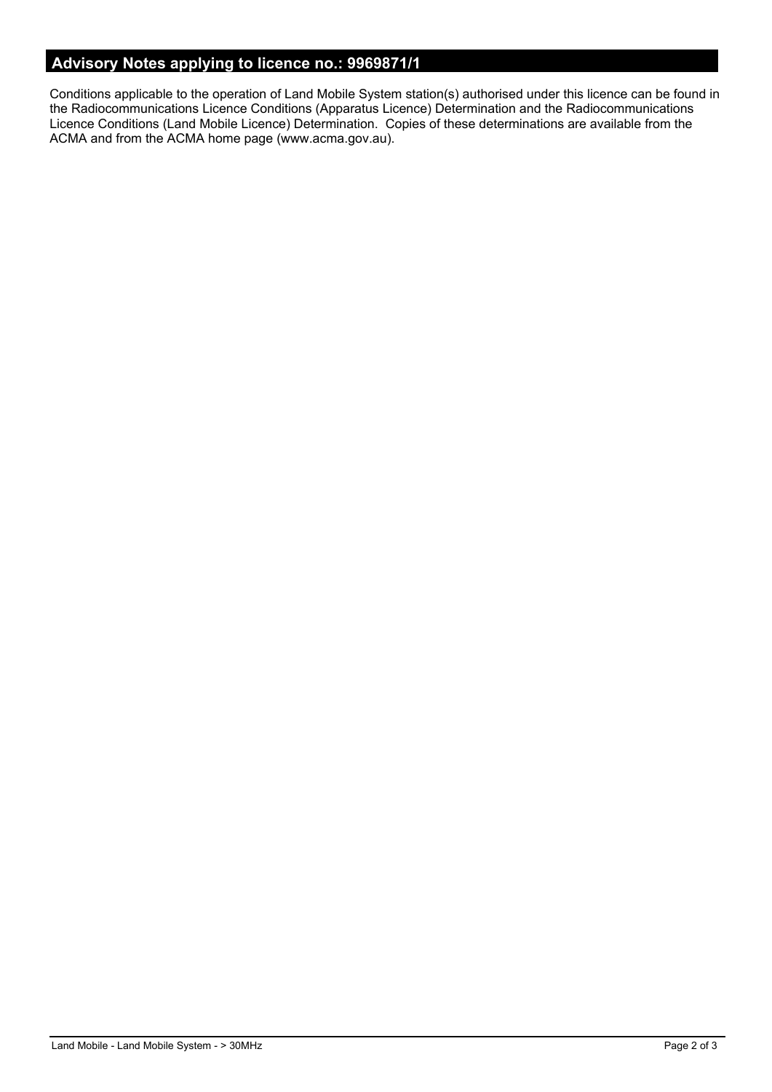# **Advisory Notes applying to licence no.: 9969871/1**

Conditions applicable to the operation of Land Mobile System station(s) authorised under this licence can be found in the Radiocommunications Licence Conditions (Apparatus Licence) Determination and the Radiocommunications Licence Conditions (Land Mobile Licence) Determination. Copies of these determinations are available from the ACMA and from the ACMA home page (www.acma.gov.au).